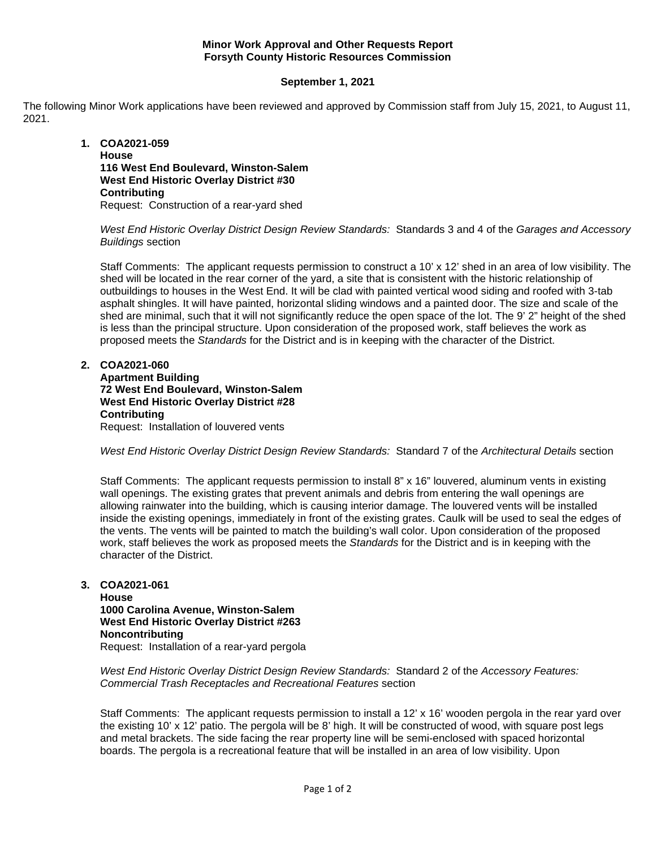## **Minor Work Approval and Other Requests Report Forsyth County Historic Resources Commission**

## **September 1, 2021**

The following Minor Work applications have been reviewed and approved by Commission staff from July 15, 2021, to August 11, 2021.

**1. COA2021-059 House 116 West End Boulevard, Winston-Salem West End Historic Overlay District #30 Contributing** Request: Construction of a rear-yard shed

*West End Historic Overlay District Design Review Standards:* Standards 3 and 4 of the *Garages and Accessory Buildings* section

Staff Comments: The applicant requests permission to construct a 10' x 12' shed in an area of low visibility. The shed will be located in the rear corner of the yard, a site that is consistent with the historic relationship of outbuildings to houses in the West End. It will be clad with painted vertical wood siding and roofed with 3-tab asphalt shingles. It will have painted, horizontal sliding windows and a painted door. The size and scale of the shed are minimal, such that it will not significantly reduce the open space of the lot. The 9' 2" height of the shed is less than the principal structure. Upon consideration of the proposed work, staff believes the work as proposed meets the *Standards* for the District and is in keeping with the character of the District.

## **2. COA2021-060**

**Apartment Building 72 West End Boulevard, Winston-Salem West End Historic Overlay District #28 Contributing** Request: Installation of louvered vents

*West End Historic Overlay District Design Review Standards:* Standard 7 of the *Architectural Details* section

Staff Comments: The applicant requests permission to install 8" x 16" louvered, aluminum vents in existing wall openings. The existing grates that prevent animals and debris from entering the wall openings are allowing rainwater into the building, which is causing interior damage. The louvered vents will be installed inside the existing openings, immediately in front of the existing grates. Caulk will be used to seal the edges of the vents. The vents will be painted to match the building's wall color. Upon consideration of the proposed work, staff believes the work as proposed meets the *Standards* for the District and is in keeping with the character of the District.

**3. COA2021-061 House 1000 Carolina Avenue, Winston-Salem West End Historic Overlay District #263 Noncontributing** Request: Installation of a rear-yard pergola

*West End Historic Overlay District Design Review Standards:* Standard 2 of the *Accessory Features: Commercial Trash Receptacles and Recreational Features* section

Staff Comments: The applicant requests permission to install a 12' x 16' wooden pergola in the rear yard over the existing 10' x 12' patio. The pergola will be 8' high. It will be constructed of wood, with square post legs and metal brackets. The side facing the rear property line will be semi-enclosed with spaced horizontal boards. The pergola is a recreational feature that will be installed in an area of low visibility. Upon